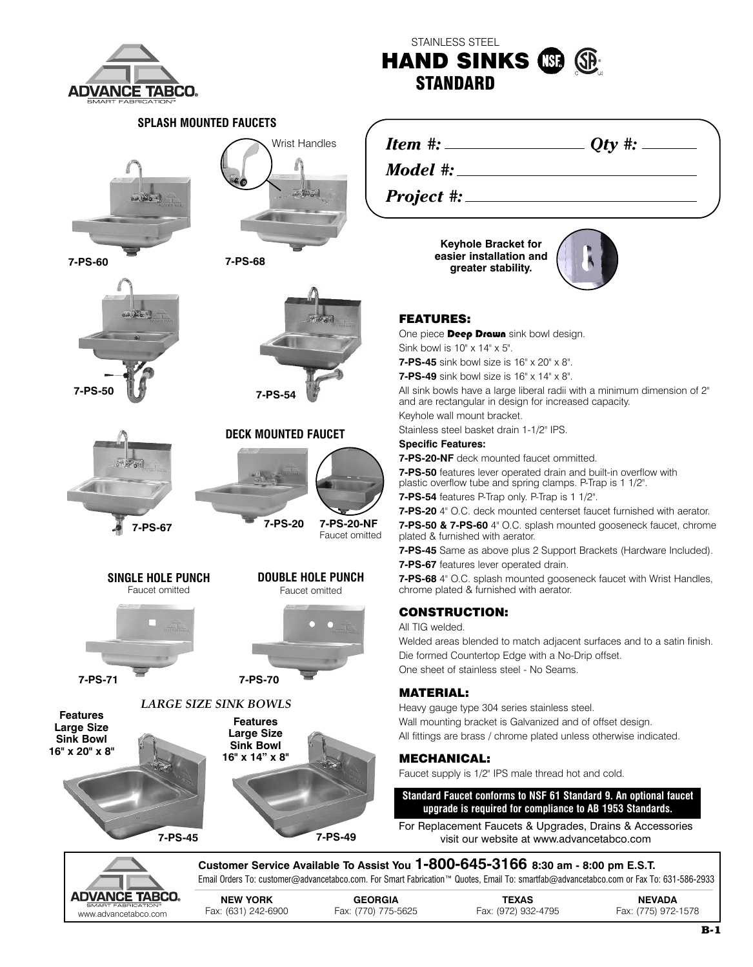

## **SPLASH MOUNTED FAUCETS**



**7-PS-60 7-PS-68**









**DECK MOUNTED FAUCET**



**7-PS-20 7-PS-20-NF** Faucet omitted

**7-PS-49**



**DOUBLE HOLE PUNCH** Faucet omitted

**SINGLE HOLE PUNCH** Faucet omitted



**7-PS-71 7-PS-70**

**Features Large Size Sink Bowl**





*LARGE SIZE SINK BOWLS*

**7-PS-45**

**STANDARD**

**HAND SINKS**

STAINLESS STEEL

*Item #: Qty #:*

*Model #:*

*Project #:*

**Keyhole Bracket for easier installation and greater stability.**



#### **FEATURES:**

One piece **Deep Drawn** sink bowl design. Sink bowl is 10" x 14" x 5".

**7-PS-45** sink bowl size is 16" x 20" x 8".

**7-PS-49** sink bowl size is 16" x 14" x 8".

All sink bowls have a large liberal radii with a minimum dimension of 2" and are rectangular in design for increased capacity.

Keyhole wall mount bracket.

Stainless steel basket drain 1-1/2" IPS.

#### **Specific Features:**

**7-PS-20-NF** deck mounted faucet ommitted.

**7-PS-50** features lever operated drain and built-in overflow with plastic overflow tube and spring clamps. P-Trap is 1 1/2". **7-PS-54** features P-Trap only. P-Trap is 1 1/2".

**7-PS-20** 4" O.C. deck mounted centerset faucet furnished with aerator. **7-PS-50 & 7-PS-60** 4" O.C. splash mounted gooseneck faucet, chrome plated & furnished with aerator.

**7-PS-45** Same as above plus 2 Support Brackets (Hardware Included).

**7-PS-67** features lever operated drain.

**7-PS-68** 4" O.C. splash mounted gooseneck faucet with Wrist Handles, chrome plated & furnished with aerator.

### **CONSTRUCTION:**

All TIG welded.

Welded areas blended to match adjacent surfaces and to a satin finish. Die formed Countertop Edge with a No-Drip offset. One sheet of stainless steel - No Seams.

#### **MATERIAL:**

Heavy gauge type 304 series stainless steel. Wall mounting bracket is Galvanized and of offset design. All fittings are brass / chrome plated unless otherwise indicated.

### **MECHANICAL:**

Faucet supply is 1/2" IPS male thread hot and cold.

**Standard Faucet conforms to NSF 61 Standard 9. An optional faucet upgrade is required for compliance to AB 1953 Standards.**

For Replacement Faucets & Upgrades, Drains & Accessories visit our website at www.advancetabco.com



**7-PS-45 Customer Service Available To Assist You 1-800-645-3166 8:30 am - 8:00 pm E.S.T.** Email Orders To: customer@advancetabco.com. For Smart Fabrication™ Quotes, Email To: smartfab@advancetabco.com or Fax To: 631-586-2933

| DVANCE TABCO.        |                     |                     |                     |                     |
|----------------------|---------------------|---------------------|---------------------|---------------------|
| SMART FABRICATION®   | <b>NEW YORK</b>     | <b>GEORGIA</b>      | TEXAS               | <b>NEVADA</b>       |
| www.advancetabco.com | Fax: (631) 242-6900 | Fax: (770) 775-5625 | Fax: (972) 932-4795 | Fax: (775) 972-1578 |